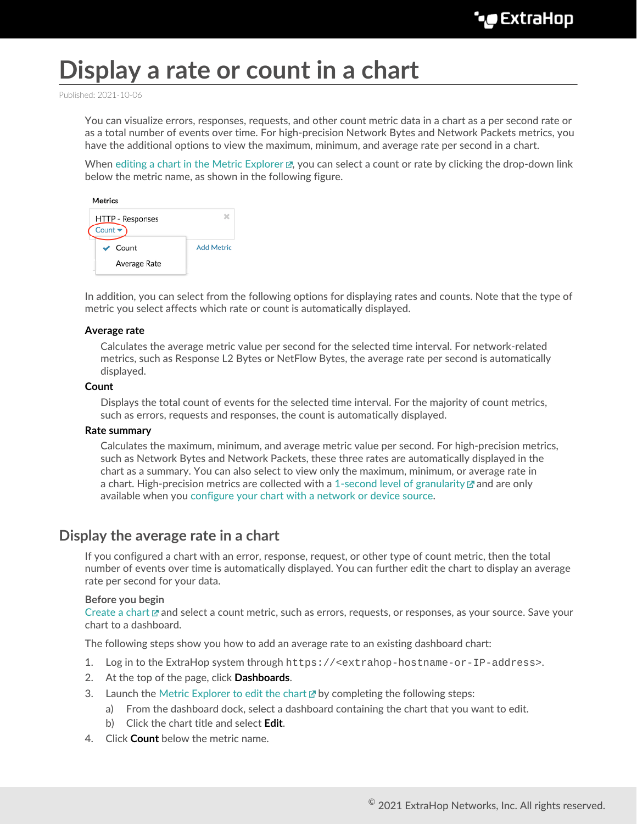# **Display a rate or count in a chart**

Published: 2021-10-06

You can visualize errors, responses, requests, and other count metric data in a chart as a per second rate or as a total number of events over time. For high-precision Network Bytes and Network Packets metrics, you have the additional options to view the maximum, minimum, and average rate per second in a chart.

When [editing a chart in the Metric Explorer](https://docs.extrahop.com/8.7/metric-explorer/#edit-a-chart-with-the-metric-explorer)  $\mathbb{Z}$ , you can select a count or rate by clicking the drop-down link below the metric name, as shown in the following figure.

| HTTP - Responses<br>Count $\overline{\mathbf{v}}$ |                   |
|---------------------------------------------------|-------------------|
| Count                                             | <b>Add Metric</b> |
| Average Rate                                      |                   |

In addition, you can select from the following options for displaying rates and counts. Note that the type of metric you select affects which rate or count is automatically displayed.

### **Average rate**

Calculates the average metric value per second for the selected time interval. For network-related metrics, such as Response L2 Bytes or NetFlow Bytes, the average rate per second is automatically displayed.

#### **Count**

Displays the total count of events for the selected time interval. For the majority of count metrics, such as errors, requests and responses, the count is automatically displayed.

#### **Rate summary**

Calculates the maximum, minimum, and average metric value per second. For high-precision metrics, such as Network Bytes and Network Packets, these three rates are automatically displayed in the chart as a summary. You can also select to view only the maximum, minimum, or average rate in a chart. High-precision metrics are collected with a [1-second level of granularity](https://docs.extrahop.com/8.7/time-intervals/#change-chart-data-granularity)  $\mathbb E$  and are only available when you [configure your chart with a network or device source](#page-1-0).

## **Display the average rate in a chart**

If you configured a chart with an error, response, request, or other type of count metric, then the total number of events over time is automatically displayed. You can further edit the chart to display an average rate per second for your data.

#### **Before you begin**

[Create a chart](https://docs.extrahop.com/8.7/create-chart/#create-a-chart) E and select a count metric, such as errors, requests, or responses, as your source. Save your chart to a dashboard.

The following steps show you how to add an average rate to an existing dashboard chart:

- 1. Log in to the ExtraHop system through https://<extrahop-hostname-or-IP-address>.
- 2. At the top of the page, click **Dashboards**.
- 3. Launch the [Metric Explorer to edit the chart](https://docs.extrahop.com/8.7/metric-explorer/#edit-a-chart-with-the-metric-explorer)  $\mathbb Z$  by completing the following steps:
	- a) From the dashboard dock, select a dashboard containing the chart that you want to edit.
	- b) Click the chart title and select **Edit**.
- 4. Click **Count** below the metric name.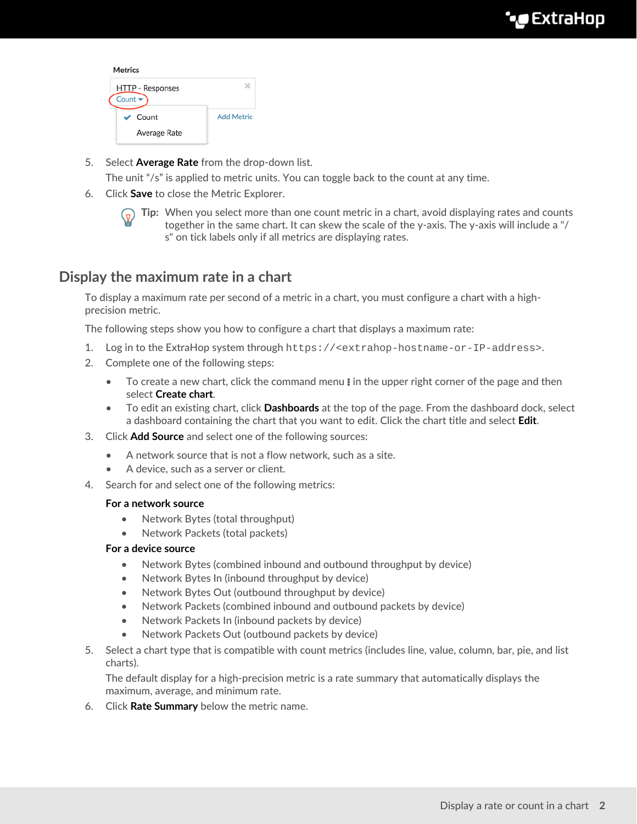| <b>Metrics</b>                                     |                   |
|----------------------------------------------------|-------------------|
| HTTP - Responses<br>Count $\overline{\phantom{a}}$ |                   |
| $\vee$ Count                                       | <b>Add Metric</b> |
| Average Rate                                       |                   |

5. Select **Average Rate** from the drop-down list.

The unit "/s" is applied to metric units. You can toggle back to the count at any time.

6. Click **Save** to close the Metric Explorer.



**Tip:** When you select more than one count metric in a chart, avoid displaying rates and counts together in the same chart. It can skew the scale of the y-axis. The y-axis will include a "/ s" on tick labels only if all metrics are displaying rates.

## <span id="page-1-0"></span>**Display the maximum rate in a chart**

To display a maximum rate per second of a metric in a chart, you must configure a chart with a highprecision metric.

The following steps show you how to configure a chart that displays a maximum rate:

- 1. Log in to the ExtraHop system through https://<extrahop-hostname-or-IP-address>.
- 2. Complete one of the following steps:
	- To create a new chart, click the command menu in the upper right corner of the page and then select **Create chart**.
	- To edit an existing chart, click **Dashboards** at the top of the page. From the dashboard dock, select a dashboard containing the chart that you want to edit. Click the chart title and select **Edit**.
- 3. Click **Add Source** and select one of the following sources:
	- A network source that is not a flow network, such as a site.
	- A device, such as a server or client.
- 4. Search for and select one of the following metrics:

## **For a network source**

- Network Bytes (total throughput)
- Network Packets (total packets)

## **For a device source**

- Network Bytes (combined inbound and outbound throughput by device)
- Network Bytes In (inbound throughput by device)
- Network Bytes Out (outbound throughput by device)
- Network Packets (combined inbound and outbound packets by device)
- Network Packets In (inbound packets by device)
- Network Packets Out (outbound packets by device)
- 5. Select a chart type that is compatible with count metrics (includes line, value, column, bar, pie, and list charts).

The default display for a high-precision metric is a rate summary that automatically displays the maximum, average, and minimum rate.

6. Click **Rate Summary** below the metric name.